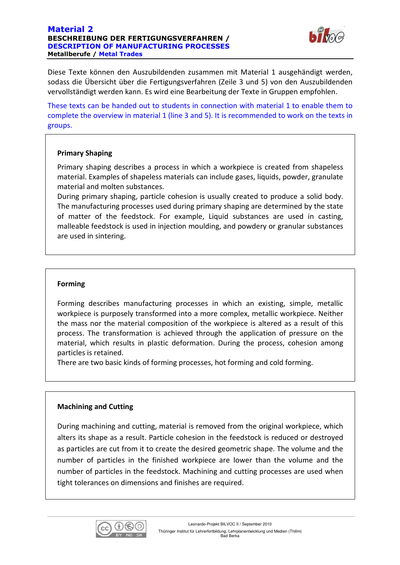#### Material 2 BESCHREIBUNG DER FERTIGUNGSVERFAHREN / DESCRIPTION OF MANUFACTURING PROCESSES Metallberufe / Metal Trades



Diese Texte können den Auszubildenden zusammen mit Material 1 ausgehändigt werden, sodass die Übersicht über die Fertigungsverfahren (Zeile 3 und 5) von den Auszubildenden vervollständigt werden kann. Es wird eine Bearbeitung der Texte in Gruppen empfohlen.

These texts can be handed out to students in connection with material 1 to enable them to complete the overview in material 1 (line 3 and 5). It is recommended to work on the texts in groups.

# Primary Shaping

Primary shaping describes a process in which a workpiece is created from shapeless material. Examples of shapeless materials can include gases, liquids, powder, granulate material and molten substances.

During primary shaping, particle cohesion is usually created to produce a solid body. The manufacturing processes used during primary shaping are determined by the state of matter of the feedstock. For example, Liquid substances are used in casting, malleable feedstock is used in injection moulding, and powdery or granular substances are used in sintering.

## Forming

Forming describes manufacturing processes in which an existing, simple, metallic workpiece is purposely transformed into a more complex, metallic workpiece. Neither the mass nor the material composition of the workpiece is altered as a result of this process. The transformation is achieved through the application of pressure on the material, which results in plastic deformation. During the process, cohesion among particles is retained.

There are two basic kinds of forming processes, hot forming and cold forming.

### Machining and Cutting

During machining and cutting, material is removed from the original workpiece, which alters its shape as a result. Particle cohesion in the feedstock is reduced or destroyed as particles are cut from it to create the desired geometric shape. The volume and the number of particles in the finished workpiece are lower than the volume and the number of particles in the feedstock. Machining and cutting processes are used when tight tolerances on dimensions and finishes are required.